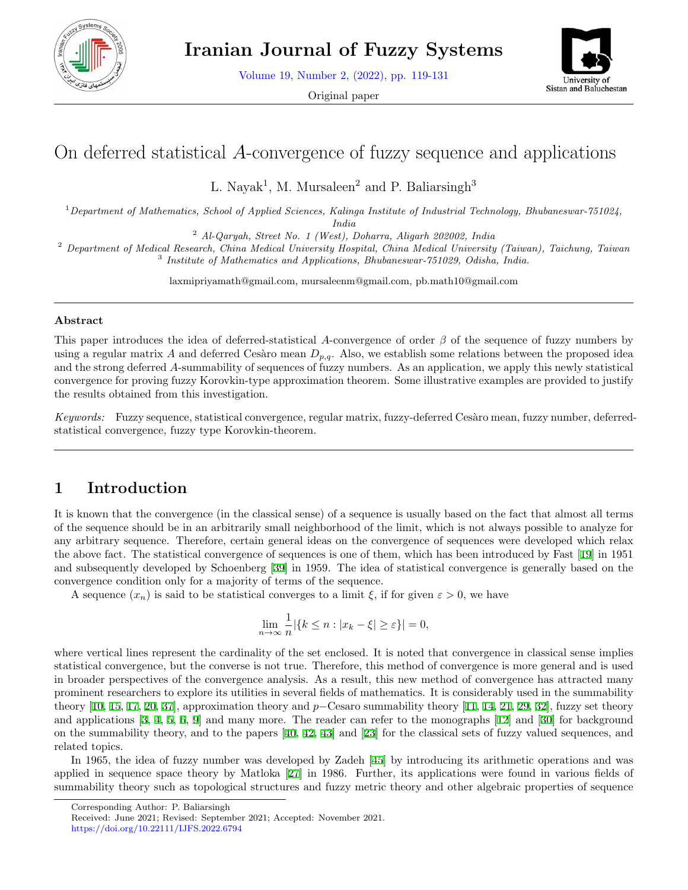

Volume 19, Number 2, (2022), pp. 119-131

Original paper



# On deferred statistical *A*-convergence of fuzzy sequence and applications

L. Nayak<sup>1</sup>, M. Mursaleen<sup>2</sup> and P. Baliarsingh<sup>3</sup>

<sup>1</sup>*Department of Mathematics, School of Applied Sciences, Kalinga Institute of Industrial Technology, Bhubaneswar-751024, India*

<sup>2</sup> *Al-Qaryah, Street No. 1 (West), Doharra, Aligarh 202002, India*

<sup>2</sup> *Department of Medical Research, China Medical University Hospital, China Medical University (Taiwan), Taichung, Taiwan* 3 *Institute of Mathematics and Applications, Bhubaneswar-751029, Odisha, India.*

laxmipriyamath@gmail.com, mursaleenm@gmail.com, pb.math10@gmail.com

## **Abstract**

This paper introduces the idea of deferred-statistical *A*-convergence of order *β* of the sequence of fuzzy numbers by using a regular matrix *A* and deferred Cesàro mean  $D_{p,q}$ . Also, we establish some relations between the proposed idea and the strong deferred *A*-summability of sequences of fuzzy numbers. As an application, we apply this newly statistical convergence for proving fuzzy Korovkin-type approximation theorem. Some illustrative examples are provided to justify the results obtained from this investigation.

*Keywords:* Fuzzy sequence, statistical convergence, regular matrix, fuzzy-deferred Cesàro mean, fuzzy number, deferredstatistical convergence, fuzzy type Korovkin-theorem.

# **1 Introduction**

It is known that the convergence (in the classical sense) of a sequence is usually based on the fact that almost all terms of the sequence should be in an arbitrarily small neighborhood of the limit, which is not always possible to analyze for any arbitrary sequence. Therefore, certain general ideas on the convergence of sequences were developed which relax the above fact. The statistical convergence of sequences is one of them, which has been introduced by Fast [[19\]](#page-11-0) in 1951 and subsequently developed by Schoenberg [[39\]](#page-12-0) in 1959. The idea of statistical convergence is generally based on the convergence condition only for a majority of terms of the sequence.

A sequence  $(x_n)$  is said to be statistical converges to a limit  $\xi$ , if for given  $\varepsilon > 0$ , we have

$$
\lim_{n \to \infty} \frac{1}{n} |\{k \le n : |x_k - \xi| \ge \varepsilon\}| = 0,
$$

where vertical lines represent the cardinality of the set enclosed. It is noted that convergence in classical sense implies statistical convergence, but the converse is not true. Therefore, this method of convergence is more general and is used in broader perspectives of the convergence analysis. As a result, this new method of convergence has attracted many prominent researchers to explore its utilities in several fields of mathematics. It is considerably used in the summability theory [[10,](#page-11-1) [15](#page-11-2), [17](#page-11-3), [20,](#page-11-4) [37](#page-12-1)], approximation theory and *p−*Cesaro summability theory [[11](#page-11-5), [14,](#page-11-6) [21](#page-11-7), [29,](#page-11-8) [32\]](#page-12-2), fuzzy set theory and applications [\[3](#page-10-0), [4,](#page-10-1) [5](#page-10-2), [6](#page-10-3), [9\]](#page-11-9) and many more. The reader can refer to the monographs [[12\]](#page-11-10) and [\[30](#page-11-11)] for background on the summability theory, and to the papers [[40](#page-12-3), [42,](#page-12-4) [43\]](#page-12-5) and [\[23](#page-11-12)] for the classical sets of fuzzy valued sequences, and related topics.

In 1965, the idea of fuzzy number was developed by Zadeh [\[45](#page-12-6)] by introducing its arithmetic operations and was applied in sequence space theory by Matloka [[27\]](#page-11-13) in 1986. Further, its applications were found in various fields of summability theory such as topological structures and fuzzy metric theory and other algebraic properties of sequence

Corresponding Author: P. Baliarsingh

Received: June 2021; Revised: September 2021; Accepted: November 2021. https://doi.org/10.22111/IJFS.2022.6794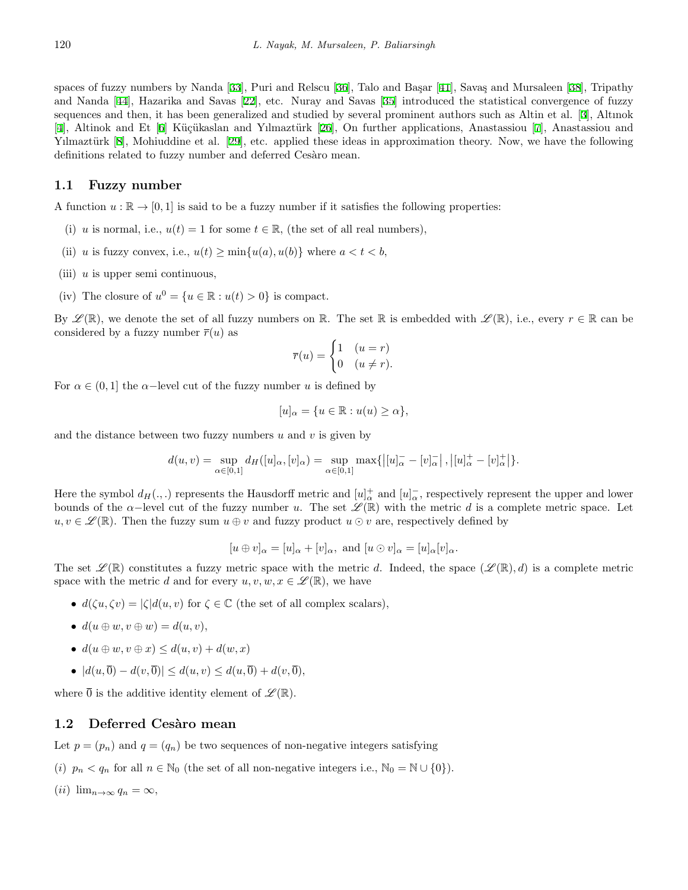spaces of fuzzy numbers by Nanda [[33\]](#page-12-7), Puri and Relscu [[36\]](#page-12-8), Talo and Başar [[41](#page-12-9)], Savaş and Mursaleen [[38](#page-12-10)], Tripathy and Nanda [[44\]](#page-12-11), Hazarika and Savas [[22\]](#page-11-14), etc. Nuray and Savas [\[35](#page-12-12)] introduced the statistical convergence of fuzzy sequences and then, it has been generalized and studied by several prominent authors such as Altin et al. [[3](#page-10-0)], Altınok [[4\]](#page-10-1), Altinok and Et [[6](#page-10-3)] Küçükaslan and Yılmaztürk [[26](#page-11-15)], On further applications, Anastassiou [\[7](#page-10-4)], Anastassiou and Yilmaztürk [[8\]](#page-11-16), Mohiuddine et al. [[29\]](#page-11-8), etc. applied these ideas in approximation theory. Now, we have the following definitions related to fuzzy number and deferred Cesàro mean.

## **1.1 Fuzzy number**

A function  $u : \mathbb{R} \to [0, 1]$  is said to be a fuzzy number if it satisfies the following properties:

- (i) *u* is normal, i.e.,  $u(t) = 1$  for some  $t \in \mathbb{R}$ , (the set of all real numbers),
- (ii) *u* is fuzzy convex, i.e.,  $u(t) \ge \min\{u(a), u(b)\}$  where  $a < t < b$ ,
- (iii) *u* is upper semi continuous,
- (iv) The closure of  $u^0 = \{u \in \mathbb{R} : u(t) > 0\}$  is compact.

By  $\mathscr{L}(\mathbb{R})$ , we denote the set of all fuzzy numbers on R. The set R is embedded with  $\mathscr{L}(\mathbb{R})$ , i.e., every  $r \in \mathbb{R}$  can be considered by a fuzzy number  $\overline{r}(u)$  as

$$
\overline{r}(u) = \begin{cases} 1 & (u = r) \\ 0 & (u \neq r). \end{cases}
$$

For  $\alpha \in (0,1]$  the  $\alpha$ −level cut of the fuzzy number *u* is defined by

$$
[u]_{\alpha} = \{ u \in \mathbb{R} : u(u) \ge \alpha \},\
$$

and the distance between two fuzzy numbers *u* and *v* is given by

$$
d(u, v) = \sup_{\alpha \in [0,1]} d_H([u]_{\alpha}, [v]_{\alpha}) = \sup_{\alpha \in [0,1]} \max\{|[u]_{\alpha} - [v]_{\alpha} - |v|_{\alpha} + |v|_{\alpha} + |v|_{\alpha} + |\alpha| \}.
$$

Here the symbol  $d_H(.,.)$  represents the Hausdorff metric and  $[u]_\alpha^+$  and  $[u]_\alpha^-$ , respectively represent the upper and lower bounds of the  $\alpha$ −level cut of the fuzzy number *u*. The set  $\mathscr{L}(\mathbb{R})$  with the metric *d* is a complete metric space. Let  $u, v \in \mathscr{L}(\mathbb{R})$ . Then the fuzzy sum  $u \oplus v$  and fuzzy product  $u \odot v$  are, respectively defined by

$$
[u \oplus v]_{\alpha} = [u]_{\alpha} + [v]_{\alpha}
$$
, and  $[u \odot v]_{\alpha} = [u]_{\alpha}[v]_{\alpha}$ .

The set  $\mathscr{L}(\mathbb{R})$  constitutes a fuzzy metric space with the metric *d*. Indeed, the space  $(\mathscr{L}(\mathbb{R}), d)$  is a complete metric space with the metric *d* and for every  $u, v, w, x \in \mathscr{L}(\mathbb{R})$ , we have

- $d(\zeta u, \zeta v) = |\zeta| d(u, v)$  for  $\zeta \in \mathbb{C}$  (the set of all complex scalars),
- $d(u \oplus w, v \oplus w) = d(u, v)$ ,
- *• d*(*u ⊕ w, v ⊕ x*) *≤ d*(*u, v*) + *d*(*w, x*)
- *• |d*(*u,* 0) *− d*(*v,* 0)*| ≤ d*(*u, v*) *≤ d*(*u,* 0) + *d*(*v,* 0)*,*

where  $\overline{0}$  is the additive identity element of  $\mathscr{L}(\mathbb{R})$ .

#### **1.2 Deferred Cesàro mean**

Let  $p = (p_n)$  and  $q = (q_n)$  be two sequences of non-negative integers satisfying

- (*i*)  $p_n < q_n$  for all  $n \in \mathbb{N}_0$  (the set of all non-negative integers i.e.,  $\mathbb{N}_0 = \mathbb{N} \cup \{0\}$ ).
- $(iii)$   $\lim_{n\to\infty} q_n = \infty$ ,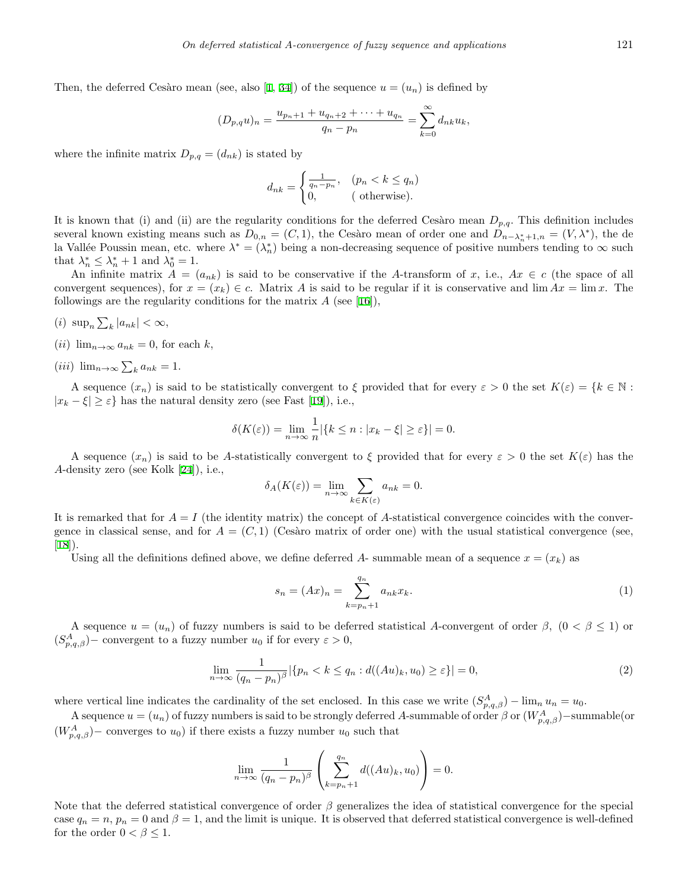Then, the deferred Cesàro mean (see, also [\[1](#page-10-5), [34](#page-12-13)]) of the sequence  $u = (u_n)$  is defined by

$$
(D_{p,q}u)_n = \frac{u_{p_n+1} + u_{q_n+2} + \dots + u_{q_n}}{q_n - p_n} = \sum_{k=0}^{\infty} d_{nk}u_k,
$$

where the infinite matrix  $D_{p,q} = (d_{nk})$  is stated by

$$
d_{nk} = \begin{cases} \frac{1}{q_n - p_n}, & (p_n < k \le q_n) \\ 0, & \text{(otherwise).} \end{cases}
$$

It is known that (i) and (ii) are the regularity conditions for the deferred Cesàro mean  $D_{p,q}$ . This definition includes several known existing means such as  $D_{0,n} = (C, 1)$ , the Cesàro mean of order one and  $D_{n-\lambda_n^*+1,n} = (V, \lambda^*)$ , the dela Vallée Poussin mean, etc. where  $\lambda^* = (\lambda_n^*)$  being a non-decreasing sequence of positive numbers tending to  $\infty$  such that  $\lambda_n^* \leq \lambda_n^* + 1$  and  $\lambda_0^* = 1$ .

An infinite matrix  $A = (a_{nk})$  is said to be conservative if the *A*-transform of *x*, i.e.,  $Ax \in c$  (the space of all convergent sequences), for  $x = (x_k) \in c$ . Matrix *A* is said to be regular if it is conservative and  $\lim Ax = \lim x$ . The followings are the regularity conditions for the matrix  $A$  (see [\[16](#page-11-17)]),

$$
(i) \ \sup\nolimits_n \sum_k |a_{nk}| < \infty,
$$

- $(iii)$   $\lim_{n\to\infty} a_{nk} = 0$ , for each *k*,
- $(iii)$   $\lim_{n\to\infty}\sum_{k}a_{nk}=1.$

A sequence  $(x_n)$  is said to be statistically convergent to  $\xi$  provided that for every  $\varepsilon > 0$  the set  $K(\varepsilon) = \{k \in \mathbb{N} :$  $|x_k - \xi| \geq \varepsilon$ } has the natural density zero (see Fast [\[19](#page-11-0)]), i.e.,

$$
\delta(K(\varepsilon)) = \lim_{n \to \infty} \frac{1}{n} |\{k \le n : |x_k - \xi| \ge \varepsilon\}| = 0.
$$

A sequence  $(x_n)$  is said to be A-statistically convergent to  $\xi$  provided that for every  $\varepsilon > 0$  the set  $K(\varepsilon)$  has the *A*-density zero (see Kolk [\[24](#page-11-18)]), i.e.,

$$
\delta_A(K(\varepsilon)) = \lim_{n \to \infty} \sum_{k \in K(\varepsilon)} a_{nk} = 0.
$$

It is remarked that for  $A = I$  (the identity matrix) the concept of A-statistical convergence coincides with the convergence in classical sense, and for  $A = (C, 1)$  (Cesàro matrix of order one) with the usual statistical convergence (see,  $[18]$  $[18]$ .

Using all the definitions defined above, we define deferred A- summable mean of a sequence  $x = (x_k)$  as

$$
s_n = (Ax)_n = \sum_{k=p_n+1}^{q_n} a_{nk} x_k.
$$
 (1)

A sequence  $u = (u_n)$  of fuzzy numbers is said to be deferred statistical *A*-convergent of order  $\beta$ ,  $(0 \le \beta \le 1)$  or  $(S_{p,q,\beta}^A)$  – convergent to a fuzzy number  $u_0$  if for every  $\varepsilon > 0$ ,

$$
\lim_{n \to \infty} \frac{1}{(q_n - p_n)^{\beta}} |\{p_n < k \le q_n : d((Au)_k, u_0) \ge \varepsilon\}| = 0,\tag{2}
$$

where vertical line indicates the cardinality of the set enclosed. In this case we write  $(S_{p,q,\beta}^A) - \lim_n u_n = u_0$ .

A sequence  $u = (u_n)$  of fuzzy numbers is said to be strongly deferred A-summable of order  $\beta$  or  $(W_{p,q,\beta}^A)$ −summable(or  $(W_{p,q,\beta}^A)$  – converges to  $u_0$ ) if there exists a fuzzy number  $u_0$  such that

$$
\lim_{n \to \infty} \frac{1}{(q_n - p_n)^{\beta}} \left( \sum_{k=p_n+1}^{q_n} d((Au)_k, u_0) \right) = 0.
$$

Note that the deferred statistical convergence of order  $\beta$  generalizes the idea of statistical convergence for the special case  $q_n = n$ ,  $p_n = 0$  and  $\beta = 1$ , and the limit is unique. It is observed that deferred statistical convergence is well-defined for the order  $0 < \beta \leq 1$ .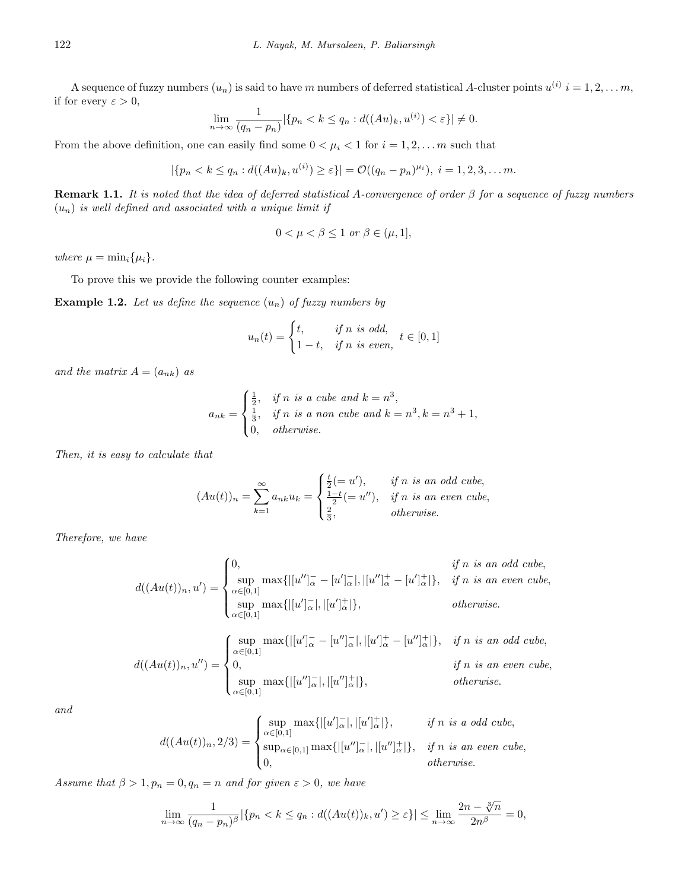A sequence of fuzzy numbers  $(u_n)$  is said to have *m* numbers of deferred statistical *A*-cluster points  $u^{(i)}$   $i = 1, 2, \ldots m$ , if for every  $\varepsilon > 0$ ,

$$
\lim_{n \to \infty} \frac{1}{(q_n - p_n)} |\{p_n < k \le q_n : d((Au)_k, u^{(i)}) < \varepsilon\}| \ne 0.
$$

From the above definition, one can easily find some  $0 < \mu_i < 1$  for  $i = 1, 2, \ldots, m$  such that

$$
|\{p_n < k \leq q_n : d((Au)_k, u^{(i)}) \geq \varepsilon\}| = \mathcal{O}((q_n - p_n)^{\mu_i}), \ i = 1, 2, 3, \dots m.
$$

**Remark 1.1.** *It is noted that the idea of deferred statistical A-convergence of order β for a sequence of fuzzy numbers*  $(u_n)$  *is well defined and associated with a unique limit if* 

$$
0 < \mu < \beta \le 1 \text{ or } \beta \in (\mu, 1],
$$

*where*  $\mu = \min_i {\mu_i}.$ 

To prove this we provide the following counter examples:

**Example 1.2.** Let us define the sequence  $(u_n)$  of fuzzy numbers by

$$
u_n(t) = \begin{cases} t, & \text{if } n \text{ is odd,} \\ 1-t, & \text{if } n \text{ is even,} \end{cases} t \in [0,1]
$$

*and the matrix*  $A = (a_{nk})$  *as* 

$$
a_{nk} = \begin{cases} \frac{1}{2}, & \text{if } n \text{ is a cube and } k = n^3, \\ \frac{1}{3}, & \text{if } n \text{ is a non cube and } k = n^3, k = n^3 + 1, \\ 0, & \text{otherwise.} \end{cases}
$$

*Then, it is easy to calculate that*

$$
(Au(t))_n = \sum_{k=1}^{\infty} a_{nk} u_k = \begin{cases} \frac{t}{2} (= u'), & \text{if } n \text{ is an odd cube,} \\ \frac{1-t}{2} (= u''), & \text{if } n \text{ is an even cube,} \\ \frac{2}{3}, & \text{otherwise.} \end{cases}
$$

*Therefore, we have*

$$
d((Au(t))_n, u') = \begin{cases} 0, & \text{if } n \text{ is an odd cube,} \\ \sup_{\alpha \in [0,1]} \max\{|[u'']^-_{\alpha} - [u']^-_{\alpha}|, |[u'']^+_{\alpha} - [u']^+_{\alpha}|\}, & \text{if } n \text{ is an even cube,} \\ \sup_{\alpha \in [0,1]} \max\{|[u']^-_{\alpha}|, |[u']^+_{\alpha}|\}, & \text{otherwise.} \end{cases}
$$
  

$$
d((Au(t))_n, u'') = \begin{cases} \sup_{\alpha \in [0,1]} \max\{|[u']^-_{\alpha} - [u'']^-_{\alpha}|, |[u']^+_{\alpha} - [u'']^+_{\alpha}|\}, & \text{if } n \text{ is an odd cube,} \\ 0, & \text{if } n \text{ is an even cube,} \\ \sup_{\alpha \in [0,1]} \max\{|[u'']^-_{\alpha}|, |[u'']^+_{\alpha}|\}, & \text{otherwise.} \end{cases}
$$

*and*

$$
d((Au(t))_n, 2/3) = \begin{cases} \sup_{\alpha \in [0,1]} \max\{|[u']_{\alpha}^{-}|, |[u']_{\alpha}^{+}|\}, & \text{if } n \text{ is a odd cube,} \\ \sup_{\alpha \in [0,1]} \max\{|[u'']_{\alpha}^{-}|, |[u'']_{\alpha}^{+}|\}, & \text{if } n \text{ is an even cube,} \\ 0, & \text{otherwise.} \end{cases}
$$

*Assume that*  $\beta > 1, p_n = 0, q_n = n$  *and for given*  $\varepsilon > 0$ *, we have* 

$$
\lim_{n \to \infty} \frac{1}{(q_n - p_n)^{\beta}} |\{p_n < k \le q_n : d((Au(t))_k, u') \ge \varepsilon\}| \le \lim_{n \to \infty} \frac{2n - \sqrt[3]{n}}{2n^{\beta}} = 0,
$$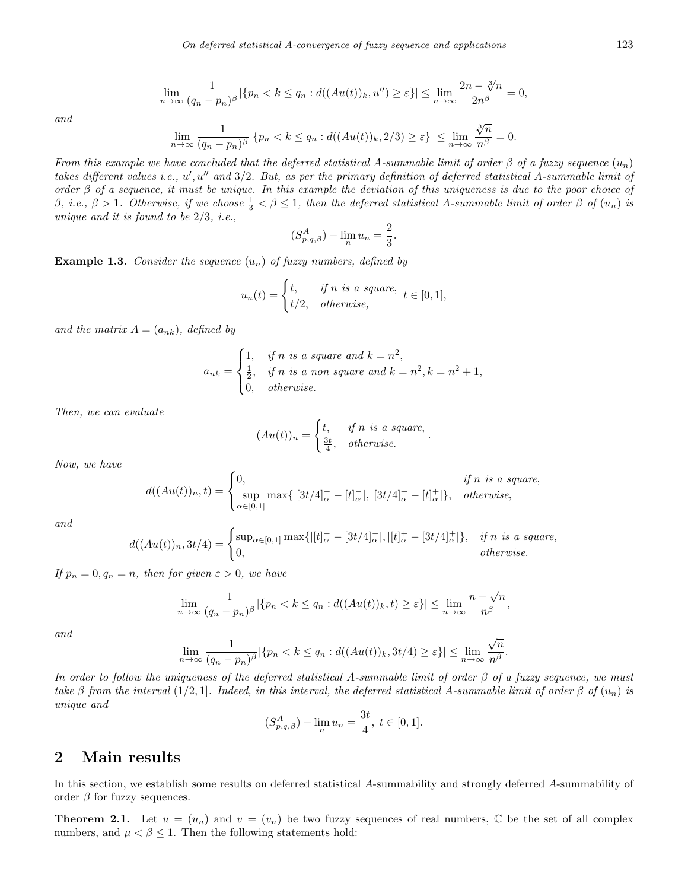$$
\lim_{n \to \infty} \frac{1}{(q_n - p_n)^{\beta}} |\{p_n < k \le q_n : d((Au(t))_k, u'') \ge \varepsilon\}| \le \lim_{n \to \infty} \frac{2n - \sqrt[3]{n}}{2n^{\beta}} = 0,
$$
\n
$$
\lim_{n \to \infty} \frac{1}{(q_n - p_n)^{\beta}} |\{p_n < k \le q_n : d((Au(t))_k, 2/3) \ge \varepsilon\}| \le \lim_{n \to \infty} \frac{\sqrt[3]{n}}{n^{\beta}} = 0.
$$

*and*

From this example we have concluded that the deferred statistical A-summable limit of order 
$$
\beta
$$
 of a fuzzy sequence  $(u_n)$  takes different values i.e.,  $u'$ ,  $u''$  and  $3/2$ . But, as per the primary definition of deferred statistical A-summable limit of order  $\beta$  of a sequence, it must be unique. In this example the deviation of this uniqueness is due to the poor choice of  $\beta$ , i.e.,  $\beta > 1$ . Otherwise, if we choose  $\frac{1}{3} < \beta \leq 1$ , then the deferred statistical A-summable limit of order  $\beta$  of  $(u_n)$  is unique and it is found to be 2/3, i.e.,

$$
(S_{p,q,\beta}^A) - \lim_n u_n = \frac{2}{3}.
$$

**Example 1.3.** *Consider the sequence* (*un*) *of fuzzy numbers, defined by*

$$
u_n(t) = \begin{cases} t, & \text{if } n \text{ is a square,} \\ t/2, & \text{otherwise,} \end{cases} t \in [0, 1],
$$

and the matrix  $A = (a_{nk})$ *, defined by* 

$$
a_{nk} = \begin{cases} 1, & \text{if } n \text{ is a square and } k = n^2, \\ \frac{1}{2}, & \text{if } n \text{ is a non square and } k = n^2, k = n^2 + 1, \\ 0, & \text{otherwise.} \end{cases}
$$

*Then, we can evaluate*

$$
(Au(t))_n = \begin{cases} t, & \text{if } n \text{ is a square,} \\ \frac{3t}{4}, & \text{otherwise.} \end{cases}
$$

*Now, we have*

$$
d((Au(t))_n, t) = \begin{cases} 0, & \text{if } n \text{ is a square,} \\ \sup_{\alpha \in [0,1]} \max\{|[3t/4]_{\alpha}^- - [t]_{\alpha}^-|, |[3t/4]_{\alpha}^+ - [t]_{\alpha}^+|\}, & \text{otherwise,} \end{cases}
$$

*and*

$$
d((Au(t))_n, 3t/4) = \begin{cases} \sup_{\alpha \in [0,1]} \max\{|[t]_{\alpha}^- - [3t/4]_{\alpha}^-|, |[t]_{\alpha}^+ - [3t/4]_{\alpha}^+|\}, & \text{if } n \text{ is a square,} \\ 0, & \text{otherwise.} \end{cases}
$$

*If*  $p_n = 0, q_n = n$ *, then for given*  $\varepsilon > 0$ *, we have* 

$$
\lim_{n \to \infty} \frac{1}{(q_n - p_n)^{\beta}} |\{p_n < k \le q_n : d((Au(t))_k, t) \ge \varepsilon\}| \le \lim_{n \to \infty} \frac{n - \sqrt{n}}{n^{\beta}},
$$

*and*

$$
\lim_{n \to \infty} \frac{1}{(q_n - p_n)^{\beta}} |\{p_n < k \le q_n : d((Au(t))_k, 3t/4) \ge \varepsilon\}| \le \lim_{n \to \infty} \frac{\sqrt{n}}{n^{\beta}}
$$

*.*

*In order to follow the uniqueness of the deferred statistical A-summable limit of order β of a fuzzy sequence, we must take*  $\beta$  *from the interval* (1/2*,* 1]*. Indeed, in this interval, the deferred statistical <i>A*-summable limit of order  $\beta$  of  $(u_n)$  is *unique and*

$$
(S_{p,q,\beta}^A) - \lim_{n} u_n = \frac{3t}{4}, \ t \in [0,1].
$$

## **2 Main results**

In this section, we establish some results on deferred statistical *A*-summability and strongly deferred *A*-summability of order  $\beta$  for fuzzy sequences.

**Theorem 2.1.** Let  $u = (u_n)$  and  $v = (v_n)$  be two fuzzy sequences of real numbers,  $\mathbb C$  be the set of all complex numbers, and  $\mu < \beta \leq 1$ . Then the following statements hold: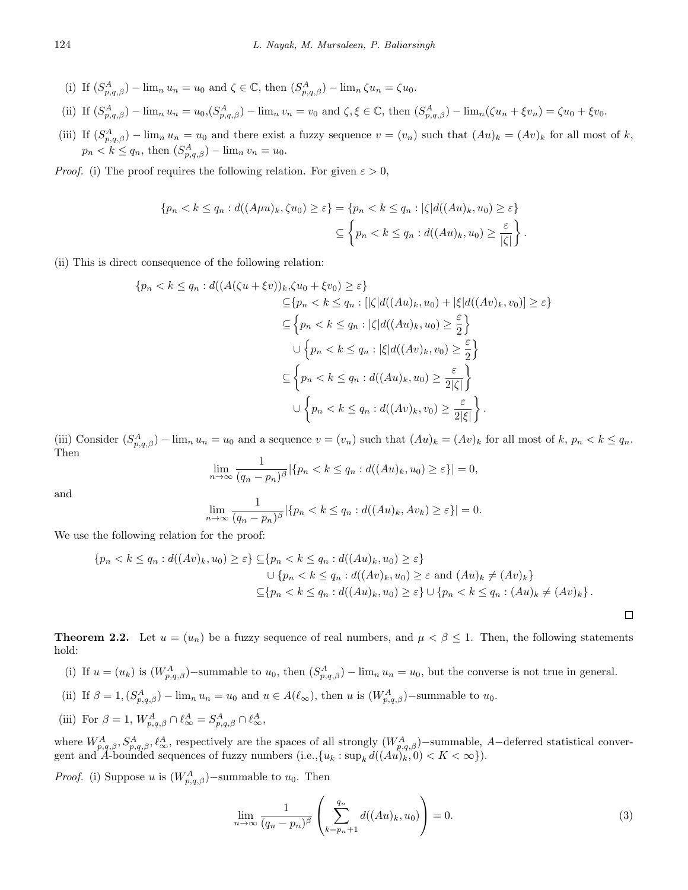- (i) If  $(S_{p,q,\beta}^A)$   $\lim_n u_n = u_0$  and  $\zeta \in \mathbb{C}$ , then  $(S_{p,q,\beta}^A)$   $\lim_n \zeta u_n = \zeta u_0$ .
- (ii) If  $(S_{p,q,\beta}^A) \lim_n u_n = u_0$ ,  $(S_{p,q,\beta}^A) \lim_n v_n = v_0$  and  $\zeta, \xi \in \mathbb{C}$ , then  $(S_{p,q,\beta}^A) \lim_n (\zeta u_n + \xi v_n) = \zeta u_0 + \xi v_0$ .
- (iii) If  $(S_{p,q,\beta}^A) \lim_n u_n = u_0$  and there exist a fuzzy sequence  $v = (v_n)$  such that  $(Au)_k = (Av)_k$  for all most of k,  $p_n < k \le q_n$ , then  $(S_{p,q,\beta}^A) - \lim_n v_n = u_0$ .

*Proof.* (i) The proof requires the following relation. For given  $\varepsilon > 0$ ,

$$
\{p_n < k \le q_n : d((A\mu u)_k, \zeta u_0) \ge \varepsilon\} = \{p_n < k \le q_n : |\zeta| d((Au)_k, u_0) \ge \varepsilon\}
$$
\n
$$
\subseteq \left\{p_n < k \le q_n : d((Au)_k, u_0) \ge \frac{\varepsilon}{|\zeta|}\right\}.
$$

(ii) This is direct consequence of the following relation:

$$
\{p_n < k \le q_n : d((A(\zeta u + \xi v))_k, \zeta u_0 + \xi v_0) \ge \varepsilon\}
$$
\n
$$
\subseteq \{p_n < k \le q_n : [|\zeta|d((Au)_k, u_0) + |\xi|d((Av)_k, v_0)] \ge \varepsilon\}
$$
\n
$$
\subseteq \left\{p_n < k \le q_n : |\zeta|d((Au)_k, u_0) \ge \frac{\varepsilon}{2}\right\}
$$
\n
$$
\cup \left\{p_n < k \le q_n : |\xi|d((Av)_k, v_0) \ge \frac{\varepsilon}{2}\right\}
$$
\n
$$
\subseteq \left\{p_n < k \le q_n : d((Au)_k, u_0) \ge \frac{\varepsilon}{2|\zeta|}\right\}
$$
\n
$$
\cup \left\{p_n < k \le q_n : d((Av)_k, v_0) \ge \frac{\varepsilon}{2|\zeta|}\right\}.
$$

(iii) Consider  $(S_{p,q,\beta}^A) - \lim_n u_n = u_0$  and a sequence  $v = (v_n)$  such that  $(Au)_k = (Av)_k$  for all most of  $k, p_n < k \leq q_n$ . Then

$$
\lim_{n \to \infty} \frac{1}{(q_n - p_n)^{\beta}} |\{p_n < k \le q_n : d((Au)_k, u_0) \ge \varepsilon\}| = 0,
$$

and

$$
\lim_{n \to \infty} \frac{1}{(q_n - p_n)^{\beta}} |\{p_n < k \le q_n : d((Au)_k, Av_k) \ge \varepsilon\}| = 0.
$$

We use the following relation for the proof:

$$
\{p_n < k \le q_n : d((Av)_k, u_0) \ge \varepsilon\} \subseteq \{p_n < k \le q_n : d((Au)_k, u_0) \ge \varepsilon\}
$$
\n
$$
\cup \{p_n < k \le q_n : d((Av)_k, u_0) \ge \varepsilon \text{ and } (Au)_k \ne (Av)_k\}
$$
\n
$$
\subseteq \{p_n < k \le q_n : d((Au)_k, u_0) \ge \varepsilon\} \cup \{p_n < k \le q_n : (Au)_k \ne (Av)_k\}.
$$

**Theorem 2.2.** Let  $u = (u_n)$  be a fuzzy sequence of real numbers, and  $\mu < \beta \leq 1$ . Then, the following statements hold:

- (i) If  $u = (u_k)$  is  $(W_{p,q,\beta}^A)$ -summable to  $u_0$ , then  $(S_{p,q,\beta}^A)$   $\lim_n u_n = u_0$ , but the converse is not true in general.
- (ii) If  $\beta = 1$ ,  $(S_{p,q,\beta}^A) \lim_n u_n = u_0$  and  $u \in A(\ell_\infty)$ , then u is  $(W_{p,q,\beta}^A)$ -summable to  $u_0$ .
- (iii) For  $\beta = 1$ ,  $W_{p,q,\beta}^{A} \cap \ell_{\infty}^{A} = S_{p,q,\beta}^{A} \cap \ell_{\infty}^{A}$ ,

where  $W_{p,q,\beta}^{A}, S_{p,q,\beta}^{A}, \ell_{\infty}^{A}$ , respectively are the spaces of all strongly  $(W_{p,q,\beta}^{A})$ -summable, A-deferred statistical convergent and *A*-bounded sequences of fuzzy numbers (i.e.,  $\{u_k : \sup_k d((Au)_k, 0) < K < \infty\}$ ).

*Proof.* (i) Suppose *u* is  $(W_{p,q,\beta}^A)$ −summable to *u*<sub>0</sub>. Then

$$
\lim_{n \to \infty} \frac{1}{(q_n - p_n)^{\beta}} \left( \sum_{k=p_n+1}^{q_n} d((Au)_k, u_0) \right) = 0.
$$
 (3)

<span id="page-5-0"></span> $\Box$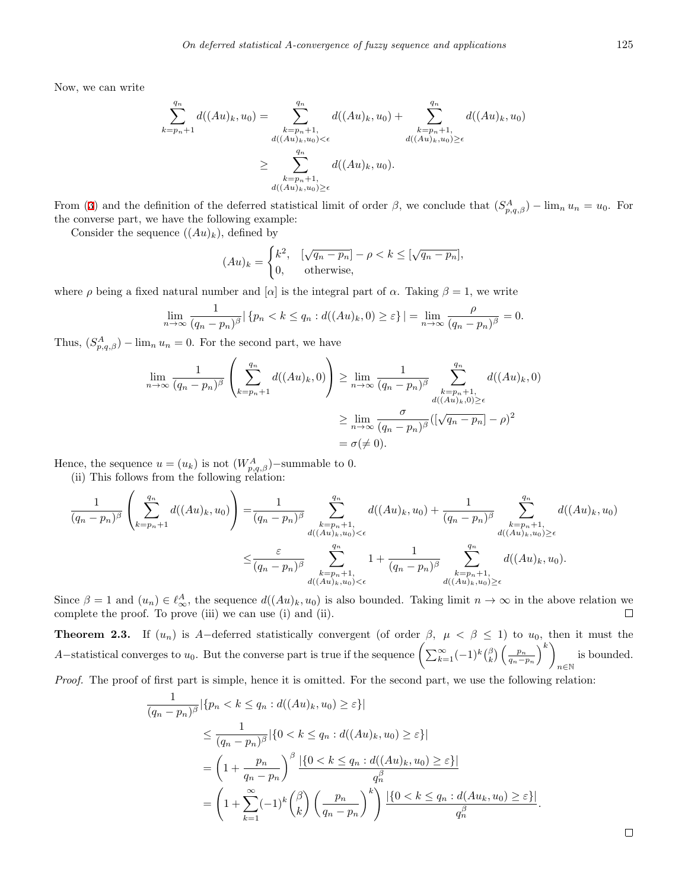Now, we can write

$$
\sum_{k=p_n+1}^{q_n} d((Au)_k, u_0) = \sum_{\substack{k=p_n+1, \\ d((Au)_k, u_0) < \epsilon}}^{q_n} d((Au)_k, u_0) + \sum_{\substack{k=p_n+1, \\ d((Au)_k, u_0) \geq \epsilon}}^{q_n} d((Au)_k, u_0)
$$
\n
$$
\geq \sum_{\substack{k=p_n+1, \\ d((Au)_k, u_0) \geq \epsilon}}^{q_n} d((Au)_k, u_0).
$$

From ([3\)](#page-5-0) and the definition of the deferred statistical limit of order  $\beta$ , we conclude that  $(S_{p,q,\beta}^A) - \lim_n u_n = u_0$ . For the converse part, we have the following example:

Consider the sequence  $((Au)_k)$ , defined by

$$
(Au)_k = \begin{cases} k^2, & \text{[}\sqrt{q_n - p_n]} - \rho < k \leq \text{[}\sqrt{q_n - p_n]}, \\ 0, & \text{otherwise,} \end{cases}
$$

where  $\rho$  being a fixed natural number and [ $\alpha$ ] is the integral part of  $\alpha$ . Taking  $\beta = 1$ , we write

$$
\lim_{n \to \infty} \frac{1}{(q_n - p_n)^{\beta}} \vert \left\{ p_n < k \le q_n : d((Au)_k, 0) \ge \varepsilon \right\} \vert = \lim_{n \to \infty} \frac{\rho}{(q_n - p_n)^{\beta}} = 0.
$$

Thus,  $(S_{p,q,\beta}^A) - \lim_n u_n = 0$ . For the second part, we have

$$
\lim_{n \to \infty} \frac{1}{(q_n - p_n)^{\beta}} \left( \sum_{k=p_n+1}^{q_n} d((Au)_k, 0) \right) \ge \lim_{n \to \infty} \frac{1}{(q_n - p_n)^{\beta}} \sum_{\substack{k=p_n+1, \\ d((Au)_k, 0) \ge \epsilon}}^{q_n} d((Au)_k, 0)
$$

$$
\ge \lim_{n \to \infty} \frac{\sigma}{(q_n - p_n)^{\beta}} \left( \left[ \sqrt{q_n - p_n} \right] - \rho \right)^2
$$

$$
= \sigma \left( \neq 0 \right).
$$

Hence, the sequence  $u = (u_k)$  is not  $(W_{p,q,\beta}^A)$ −summable to 0.

(ii) This follows from the following relation:

$$
\frac{1}{(q_n - p_n)^{\beta}} \left( \sum_{k=p_n+1}^{q_n} d((Au)_k, u_0) \right) = \frac{1}{(q_n - p_n)^{\beta}} \sum_{\substack{k=p_n+1, \\ d((Au)_k, u_0) < \epsilon}}^{q_n} d((Au)_k, u_0) + \frac{1}{(q_n - p_n)^{\beta}} \sum_{\substack{k=p_n+1, \\ d((Au)_k, u_0) \geq \epsilon}}^{q_n} d((Au)_k, u_0)
$$
\n
$$
\leq \frac{\epsilon}{(q_n - p_n)^{\beta}} \sum_{\substack{k=p_n+1, \\ d((Au)_k, u_0) < \epsilon}}^{q_n} 1 + \frac{1}{(q_n - p_n)^{\beta}} \sum_{\substack{k=p_n+1, \\ d((Au)_k, u_0) \geq \epsilon}}^{q_n} d((Au)_k, u_0).
$$

Since  $\beta = 1$  and  $(u_n) \in \ell^A_{\infty}$ , the sequence  $d((Au)_k, u_0)$  is also bounded. Taking limit  $n \to \infty$  in the above relation we complete the proof. To prove (iii) we can use (i) and (ii).

**Theorem 2.3.** If  $(u_n)$  is *A−*deferred statistically convergent (of order  $\beta$ ,  $\mu < \beta \leq 1$ ) to  $u_0$ , then it must the *A*−statistical converges to *u*<sub>0</sub>. But the converse part is true if the sequence  $\left(\sum_{k=1}^{\infty}(-1)^k\binom{\beta}{k}\left(\frac{p_n}{q_n-p_n}\right)^{k-1}\right)$  $\setminus^k$ *n∈*N is bounded. *Proof.* The proof of first part is simple, hence it is omitted. For the second part, we use the following relation:

$$
\frac{1}{(q_n - p_n)^{\beta}} |\{p_n < k \le q_n : d((Au)_k, u_0) \ge \varepsilon\}|
$$
\n
$$
\le \frac{1}{(q_n - p_n)^{\beta}} |\{0 < k \le q_n : d((Au)_k, u_0) \ge \varepsilon\}|
$$
\n
$$
= \left(1 + \frac{p_n}{q_n - p_n}\right)^{\beta} \frac{|\{0 < k \le q_n : d((Au)_k, u_0) \ge \varepsilon\}|}{q_n^{\beta}}
$$
\n
$$
= \left(1 + \sum_{k=1}^{\infty} (-1)^k \binom{\beta}{k} \left(\frac{p_n}{q_n - p_n}\right)^k\right) \frac{|\{0 < k \le q_n : d(Au_k, u_0) \ge \varepsilon\}|}{q_n^{\beta}}.
$$

 $\Box$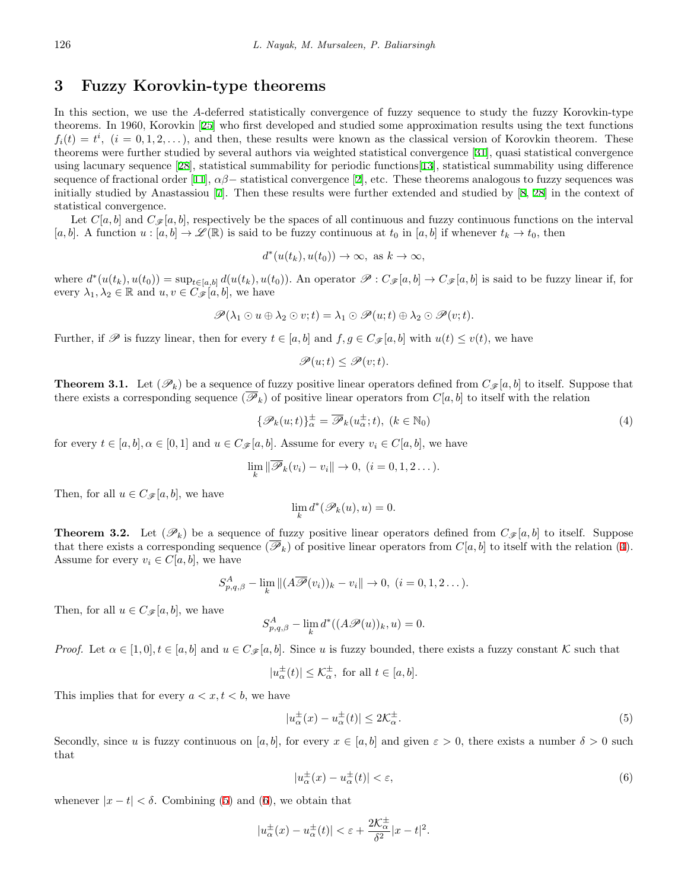# **3 Fuzzy Korovkin-type theorems**

In this section, we use the *A*-deferred statistically convergence of fuzzy sequence to study the fuzzy Korovkin-type theorems. In 1960, Korovkin [\[25](#page-11-20)] who first developed and studied some approximation results using the text functions  $f_i(t) = t^i$ ,  $(i = 0, 1, 2, ...)$ , and then, these results were known as the classical version of Korovkin theorem. These theorems were further studied by several authors via weighted statistical convergence [[31\]](#page-12-14), quasi statistical convergence using lacunary sequence [[28\]](#page-11-21), statistical summability for periodic functions[\[13](#page-11-22)], statistical summability using difference sequence of fractional order [\[11](#page-11-5)],  $\alpha\beta$  – statistical convergence [[2\]](#page-10-6), etc. These theorems analogous to fuzzy sequences was initially studied by Anastassiou [[7\]](#page-10-4). Then these results were further extended and studied by [\[8](#page-11-16), [28\]](#page-11-21) in the context of statistical convergence.

Let  $C[a, b]$  and  $C_{\mathscr{F}}[a, b]$ , respectively be the spaces of all continuous and fuzzy continuous functions on the interval [*a, b*]. A function  $u : [a, b] \to \mathscr{L}(\mathbb{R})$  is said to be fuzzy continuous at  $t_0$  in [*a, b*] if whenever  $t_k \to t_0$ , then

$$
d^*(u(t_k), u(t_0)) \to \infty, \text{ as } k \to \infty,
$$

where  $d^*(u(t_k), u(t_0)) = \sup_{t \in [a,b]} d(u(t_k), u(t_0))$ . An operator  $\mathscr{P}: C_{\mathscr{F}}[a,b] \to C_{\mathscr{F}}[a,b]$  is said to be fuzzy linear if, for every  $\lambda_1, \lambda_2 \in \mathbb{R}$  and  $u, v \in C_{\mathscr{F}}[a, b]$ , we have

$$
\mathscr{P}(\lambda_1 \odot u \oplus \lambda_2 \odot v; t) = \lambda_1 \odot \mathscr{P}(u; t) \oplus \lambda_2 \odot \mathscr{P}(v; t).
$$

Further, if  $\mathscr P$  is fuzzy linear, then for every  $t \in [a, b]$  and  $f, g \in C_{\mathscr F}[a, b]$  with  $u(t) \leq v(t)$ , we have

<span id="page-7-0"></span>
$$
\mathscr{P}(u;t) \le \mathscr{P}(v;t).
$$

**Theorem 3.1.** Let  $(\mathscr{P}_k)$  be a sequence of fuzzy positive linear operators defined from  $C_{\mathscr{F}}[a, b]$  to itself. Suppose that there exists a corresponding sequence  $(\overline{\mathscr{P}}_k)$  of positive linear operators from  $C[a, b]$  to itself with the relation

$$
\{\mathscr{P}_k(u;t)\}_{\alpha}^{\pm} = \overline{\mathscr{P}}_k(u_{\alpha}^{\pm};t), \ (k \in \mathbb{N}_0)
$$
\n<sup>(4)</sup>

for every  $t \in [a, b]$ ,  $\alpha \in [0, 1]$  and  $u \in C_{\mathscr{F}}[a, b]$ . Assume for every  $v_i \in C[a, b]$ , we have

$$
\lim_{k} \|\overline{\mathscr{P}}_{k}(v_{i}) - v_{i}\| \to 0, \ (i = 0, 1, 2 \dots).
$$

Then, for all  $u \in C_{\mathscr{F}}[a, b]$ , we have

$$
\lim_{k} d^*(\mathscr{P}_k(u), u) = 0.
$$

<span id="page-7-3"></span>**Theorem 3.2.** Let  $(\mathscr{P}_k)$  be a sequence of fuzzy positive linear operators defined from  $C_{\mathscr{F}}[a,b]$  to itself. Suppose that there exists a corresponding sequence  $(\overline{\mathscr{P}}_k)$  of positive linear operators from  $C[a, b]$  to itself with the relation [\(4](#page-7-0)). Assume for every  $v_i \in C[a, b]$ , we have

$$
S_{p,q,\beta}^A - \lim_k ||(A\overline{\mathscr{P}}(v_i))_k - v_i|| \to 0, \ (i = 0, 1, 2 \dots).
$$

Then, for all  $u \in C_{\mathscr{F}}[a, b]$ , we have

$$
S_{p,q,\beta}^A - \lim_{k} d^*((A\mathscr{P}(u))_k, u) = 0.
$$

*Proof.* Let  $\alpha \in [1,0], t \in [a,b]$  and  $u \in C_{\mathscr{F}}[a,b]$ . Since *u* is fuzzy bounded, there exists a fuzzy constant *K* such that

$$
|u_{\alpha}^{\pm}(t)| \leq \mathcal{K}_{\alpha}^{\pm}
$$
, for all  $t \in [a, b]$ .

This implies that for every  $a < x, t < b$ , we have

$$
|u_{\alpha}^{\pm}(x) - u_{\alpha}^{\pm}(t)| \le 2\mathcal{K}_{\alpha}^{\pm}.
$$
 (5)

Secondly, since *u* is fuzzy continuous on [*a, b*], for every  $x \in [a, b]$  and given  $\varepsilon > 0$ , there exists a number  $\delta > 0$  such that

<span id="page-7-2"></span><span id="page-7-1"></span>
$$
|u_{\alpha}^{\pm}(x) - u_{\alpha}^{\pm}(t)| < \varepsilon,\tag{6}
$$

whenever  $|x - t| < \delta$ . Combining ([5\)](#page-7-1) and [\(6](#page-7-2)), we obtain that

$$
|u_{\alpha}^{\pm}(x) - u_{\alpha}^{\pm}(t)| < \varepsilon + \frac{2\mathcal{K}_{\alpha}^{\pm}}{\delta^2} |x - t|^2.
$$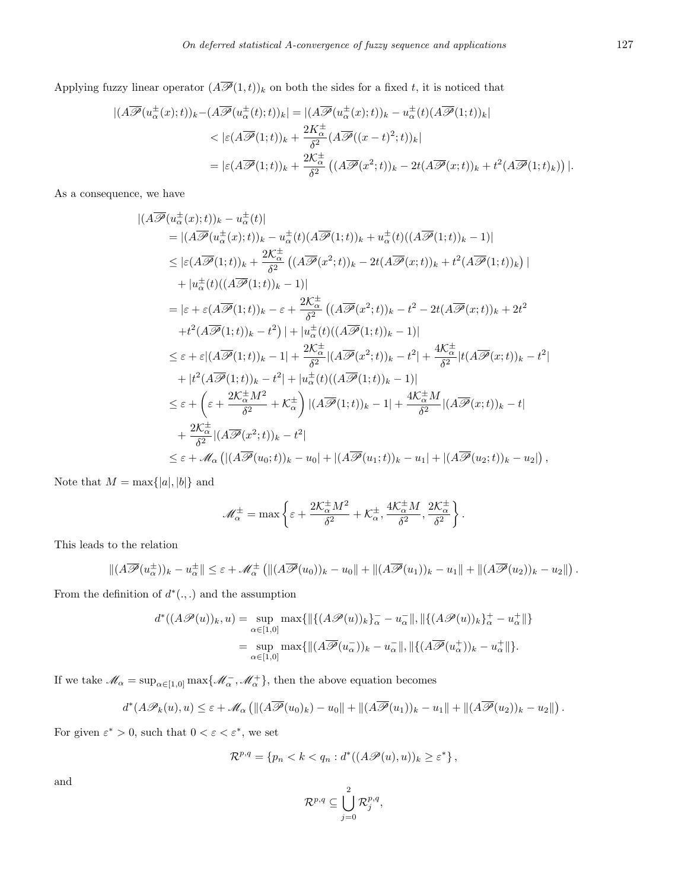Applying fuzzy linear operator  $(A\overline{\mathscr{P}}(1,t))_k$  on both the sides for a fixed *t*, it is noticed that

$$
\begin{split} |(A\overline{\mathscr{P}}(u_{\alpha}^{\pm}(x);t))_{k} - (A\overline{\mathscr{P}}(u_{\alpha}^{\pm}(t);t))_{k}| &= |(A\overline{\mathscr{P}}(u_{\alpha}^{\pm}(x);t))_{k} - u_{\alpha}^{\pm}(t)(A\overline{\mathscr{P}}(1;t))_{k}| \\ &< |\varepsilon(A\overline{\mathscr{P}}(1;t))_{k} + \frac{2K_{\alpha}^{\pm}}{\delta^{2}}(A\overline{\mathscr{P}}((x-t)^{2};t))_{k}| \\ &= |\varepsilon(A\overline{\mathscr{P}}(1;t))_{k} + \frac{2K_{\alpha}^{\pm}}{\delta^{2}}\left((A\overline{\mathscr{P}}(x^{2};t))_{k} - 2t(A\overline{\mathscr{P}}(x;t))_{k} + t^{2}(A\overline{\mathscr{P}}(1;t)_{k})\right)|. \end{split}
$$

As a consequence, we have

$$
\begin{split}\n&|\widetilde{(\mathcal{A}\mathcal{P}}(u_{\alpha}^{\pm}(x);t))_{k}-u_{\alpha}^{\pm}(t)| \\
&=|\widetilde{(\mathcal{A}\mathcal{P}}(u_{\alpha}^{\pm}(x);t))_{k}-u_{\alpha}^{\pm}(t)(\widetilde{\mathcal{A}\mathcal{P}}(1;t))_{k}+u_{\alpha}^{\pm}(t)((\widetilde{\mathcal{A}\mathcal{P}}(1;t))_{k}-1)| \\
&\leq |\varepsilon(\widetilde{\mathcal{A}\mathcal{P}}(1;t))_{k}+\frac{2\mathcal{K}_{\alpha}^{\pm}}{\delta^{2}}\left((\widetilde{\mathcal{A}\mathcal{P}}(x^{2};t))_{k}-2t(\widetilde{\mathcal{A}\mathcal{P}}(x;t))_{k}+t^{2}(\widetilde{\mathcal{A}\mathcal{P}}(1;t))_{k}\right)| \\
&+|u_{\alpha}^{\pm}(t)((\widetilde{\mathcal{A}\mathcal{P}}(1;t))_{k}-1)| \\
&=|\varepsilon+\varepsilon(\widetilde{\mathcal{A}\mathcal{P}}(1;t))_{k}-\varepsilon+\frac{2\mathcal{K}_{\alpha}^{\pm}}{\delta^{2}}\left((\widetilde{\mathcal{A}\mathcal{P}}(x^{2};t))_{k}-t^{2}-2t(\widetilde{\mathcal{A}\mathcal{P}}(x;t))_{k}+2t^{2} \\
&+t^{2}(\widetilde{\mathcal{A}\mathcal{P}}(1;t))_{k}-t^{2}\right)|+|u_{\alpha}^{\pm}(t)((\widetilde{\mathcal{A}\mathcal{P}}(1;t))_{k}-1)| \\
&\leq \varepsilon+\varepsilon|(\widetilde{\mathcal{A}\mathcal{P}}(1;t))_{k}-1|+\frac{2\mathcal{K}_{\alpha}^{\pm}}{\delta^{2}}|(A\widetilde{\mathcal{P}}(x^{2};t))_{k}-t^{2}|+\frac{4\mathcal{K}_{\alpha}^{\pm}}{\delta^{2}}|t(A\widetilde{\mathcal{P}}(x;t))_{k}-t^{2}| \\
&+|t^{2}(\widetilde{\mathcal{A}\mathcal{P}}(1;t))_{k}-t^{2}|+|u_{\alpha}^{\pm}(t)((\widetilde{\mathcal{A}\mathcal{P}}(1;t))_{k}-1)| \\
&\leq \varepsilon+\left(\varepsilon+\frac{2\mathcal{K}_{\alpha}^{\pm}M^{2
$$

Note that  $M = \max\{|a|, |b|\}$  and

$$
\mathscr{M}_{\alpha}^{\pm} = \max \left\{ \varepsilon + \frac{2\mathcal{K}_{\alpha}^{\pm}M^2}{\delta^2} + \mathcal{K}_{\alpha}^{\pm}, \frac{4\mathcal{K}_{\alpha}^{\pm}M}{\delta^2}, \frac{2\mathcal{K}_{\alpha}^{\pm}}{\delta^2} \right\}.
$$

This leads to the relation

$$
\|(A\overline{\mathscr{P}}(u_{\alpha}^{\pm}))_{k}-u_{\alpha}^{\pm}\|\leq\varepsilon+\mathscr{M}_{\alpha}^{\pm}\left(\|(A\overline{\mathscr{P}}(u_{0}))_{k}-u_{0}\|+\|(A\overline{\mathscr{P}}(u_{1}))_{k}-u_{1}\|+\|(A\overline{\mathscr{P}}(u_{2}))_{k}-u_{2}\|\right).
$$

From the definition of  $d^*(.,.)$  and the assumption

$$
d^*((A\mathscr{P}(u))_k, u) = \sup_{\alpha \in [1,0]} \max\{ \|\{(A\mathscr{P}(u))_k\}_{\alpha}^{\dagger} - u_{\alpha}^{\dagger}\|, \|\{(A\mathscr{P}(u))_k\}_{\alpha}^{\dagger} - u_{\alpha}^{\dagger}\|\}
$$

$$
= \sup_{\alpha \in [1,0]} \max\{\|(A\overline{\mathscr{P}}(u_{\alpha}^-))_k - u_{\alpha}^{\dagger}\|, \|\{(A\overline{\mathscr{P}}(u_{\alpha}^+))_k - u_{\alpha}^{\dagger}\|\}.
$$

If we take  $\mathcal{M}_{\alpha} = \sup_{\alpha \in [1,0]} \max \{ \mathcal{M}_{\alpha}^{-}, \mathcal{M}_{\alpha}^{+} \},$  then the above equation becomes

$$
d^*(A\mathscr{P}_k(u),u) \leq \varepsilon + \mathscr{M}_\alpha \left( \|(A\overline{\mathscr{P}}(u_0)_k) - u_0\| + \|(A\overline{\mathscr{P}}(u_1))_k - u_1\| + \|(A\overline{\mathscr{P}}(u_2))_k - u_2\| \right).
$$

For given  $\varepsilon^* > 0$ , such that  $0 < \varepsilon < \varepsilon^*$ , we set

$$
\mathcal{R}^{p,q} = \{ p_n < k < q_n : d^*((A\mathscr{P}(u), u))_k \ge \varepsilon^* \},
$$

and

$$
\mathcal{R}^{p,q} \subseteq \bigcup_{j=0}^2 \mathcal{R}^{p,q}_j,
$$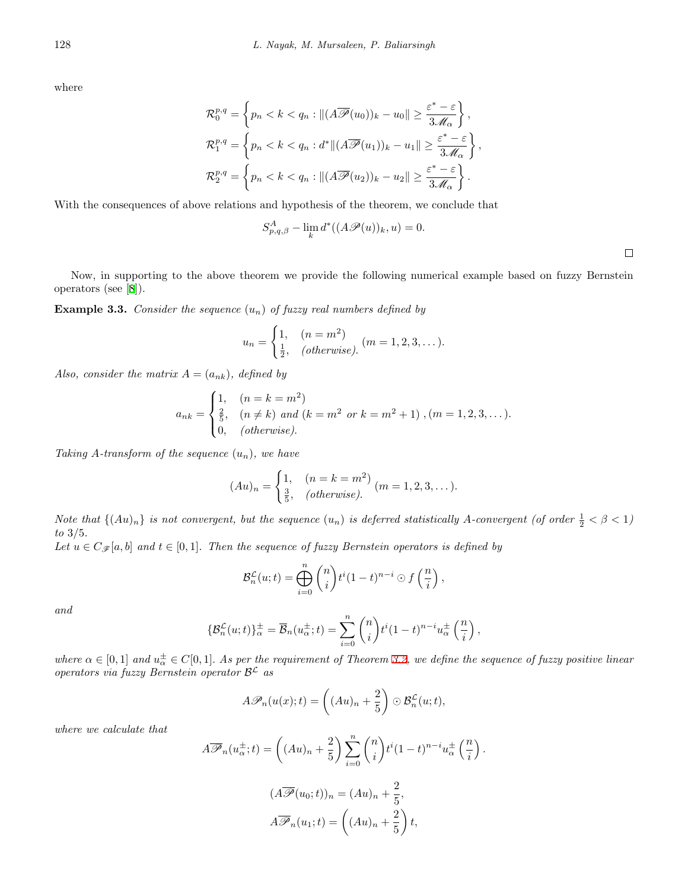where

$$
\mathcal{R}_0^{p,q} = \left\{ p_n < k < q_n : \| (A\overline{\mathcal{P}}(u_0))_k - u_0 \| \ge \frac{\varepsilon^* - \varepsilon}{3\mathcal{M}_\alpha} \right\},
$$
\n
$$
\mathcal{R}_1^{p,q} = \left\{ p_n < k < q_n : d^* \| (A\overline{\mathcal{P}}(u_1))_k - u_1 \| \ge \frac{\varepsilon^* - \varepsilon}{3\mathcal{M}_\alpha} \right\},
$$
\n
$$
\mathcal{R}_2^{p,q} = \left\{ p_n < k < q_n : \| (A\overline{\mathcal{P}}(u_2))_k - u_2 \| \ge \frac{\varepsilon^* - \varepsilon}{3\mathcal{M}_\alpha} \right\}.
$$

With the consequences of above relations and hypothesis of the theorem, we conclude that

$$
S_{p,q,\beta}^{A} - \lim_{k} d^{*}((A\mathscr{P}(u))_{k}, u) = 0.
$$

*,*

Now, in supporting to the above theorem we provide the following numerical example based on fuzzy Bernstein operators (see [[8](#page-11-16)]).

**Example 3.3.** *Consider the sequence* (*un*) *of fuzzy real numbers defined by*

$$
u_n = \begin{cases} 1, & (n = m^2) \\ \frac{1}{2}, & (otherwise). \end{cases} (m = 1, 2, 3, ...).
$$

*Also, consider the matrix*  $A = (a_{nk})$ *, defined by* 

$$
a_{nk} = \begin{cases} 1, & (n = k = m^2) \\ \frac{2}{5}, & (n \neq k) \text{ and } (k = m^2 \text{ or } k = m^2 + 1), (m = 1, 2, 3, \dots). \\ 0, & (otherwise). \end{cases}
$$

*Taking A-transform of the sequence* (*un*)*, we have*

$$
(Au)_n = \begin{cases} 1, & (n = k = m^2) \\ \frac{3}{5}, & (otherwise). \end{cases} (m = 1, 2, 3, \dots).
$$

*Note that*  $\{(Au)_n\}$  *is not convergent, but the sequence*  $(u_n)$  *is deferred statistically A-convergent* (*of order*  $\frac{1}{2} < \beta < 1$ ) *to* 3*/*5*. Let*  $u \in C_{\mathscr{F}}[a,b]$  *and*  $t \in [0,1]$ *. Then the sequence of fuzzy Bernstein operators is defined by* 

$$
\mathcal{B}_n^{\mathcal{L}}(u;t) = \bigoplus_{i=0}^n {n \choose i} t^i (1-t)^{n-i} \odot f\left(\frac{n}{i}\right),
$$

*and*

$$
\{\mathcal{B}_{n}^{\mathcal{L}}(u;t)\}_{\alpha}^{\pm} = \overline{\mathcal{B}}_{n}(u_{\alpha}^{\pm};t) = \sum_{i=0}^{n} {n \choose i} t^{i} (1-t)^{n-i} u_{\alpha}^{\pm} \left(\frac{n}{i}\right)
$$

where  $\alpha \in [0,1]$  and  $u^{\pm}_{\alpha} \in C[0,1]$ . As per the requirement of Theorem [3.2,](#page-7-3) we define the sequence of fuzzy positive linear *operators via fuzzy Bernstein operator B <sup>L</sup> as*

$$
A\mathscr{P}_n(u(x);t) = \left((Au)_n + \frac{2}{5}\right) \odot \mathcal{B}_n^{\mathcal{L}}(u;t),
$$

*where we calculate that*

$$
A\overline{\mathscr{P}}_n(u_\alpha^{\pm};t) = \left((Au)_n + \frac{2}{5}\right) \sum_{i=0}^n {n \choose i} t^i (1-t)^{n-i} u_\alpha^{\pm} \left(\frac{n}{i}\right).
$$

$$
(A\overline{\mathscr{P}}(u_0;t))_n = (Au)_n + \frac{2}{5},
$$

$$
A\overline{\mathscr{P}}_n(u_1;t) = \left((Au)_n + \frac{2}{5}\right)t,
$$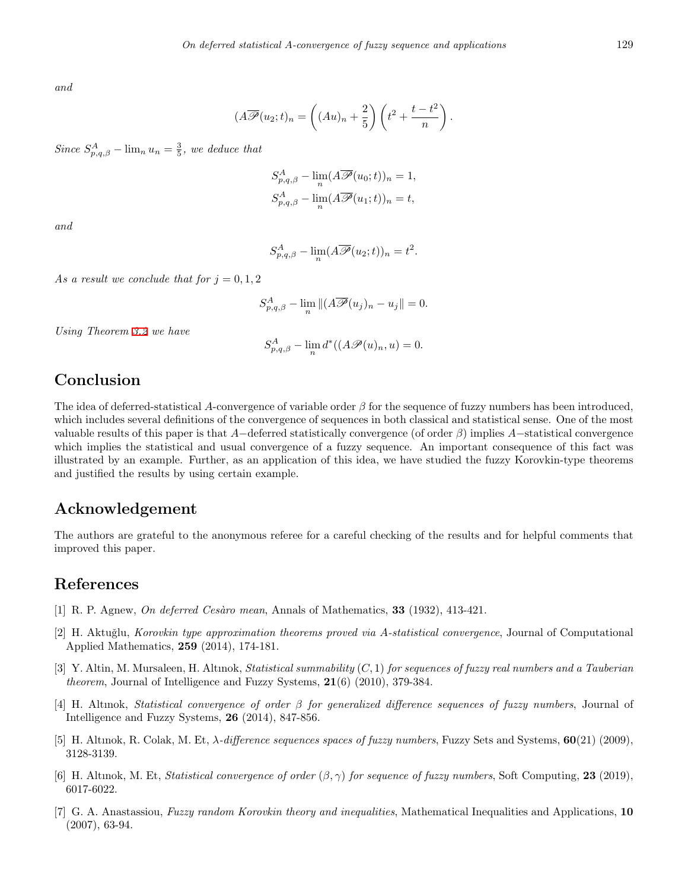*and*

$$
(A\overline{\mathscr{P}}(u_2;t)_n = \left((Au)_n + \frac{2}{5}\right)\left(t^2 + \frac{t-t^2}{n}\right).
$$

*Since*  $S_{p,q,\beta}^A$  *−* lim<sub>n</sub>  $u_n = \frac{3}{5}$ *, we deduce that* 

$$
S_{p,q,\beta}^{A} - \lim_{n} (A \overline{\mathscr{P}}(u_0; t))_n = 1,
$$
  

$$
S_{p,q,\beta}^{A} - \lim_{n} (A \overline{\mathscr{P}}(u_1; t))_n = t,
$$

*and*

$$
S_{p,q,\beta}^{A} - \lim_{n} (A\overline{\mathscr{P}}(u_2;t))_n = t^2.
$$

*As a result we conclude that for*  $j = 0, 1, 2$ 

$$
S_{p,q,\beta}^A - \lim_{n} ||(A\overline{\mathscr{P}}(u_j)_n - u_j|| = 0.
$$

*Using Theorem [3.2](#page-7-3) we have*

$$
S_{p,q,\beta}^A - \lim_{n} d^*((A\mathscr{P}(u)_n, u) = 0.
$$

## **Conclusion**

The idea of deferred-statistical *A*-convergence of variable order *β* for the sequence of fuzzy numbers has been introduced, which includes several definitions of the convergence of sequences in both classical and statistical sense. One of the most valuable results of this paper is that *A−*deferred statistically convergence (of order *β*) implies *A−*statistical convergence which implies the statistical and usual convergence of a fuzzy sequence. An important consequence of this fact was illustrated by an example. Further, as an application of this idea, we have studied the fuzzy Korovkin-type theorems and justified the results by using certain example.

# **Acknowledgement**

The authors are grateful to the anonymous referee for a careful checking of the results and for helpful comments that improved this paper.

# **References**

- <span id="page-10-5"></span>[1] R. P. Agnew, *On deferred Ces`aro mean*, Annals of Mathematics, **33** (1932), 413-421.
- <span id="page-10-6"></span>[2] H. Aktuğlu, *Korovkin type approximation theorems proved via A-statistical convergence*, Journal of Computational Applied Mathematics, **259** (2014), 174-181.
- <span id="page-10-0"></span>[3] Y. Altin, M. Mursaleen, H. Altınok, *Statistical summability* (*C,* 1) *for sequences of fuzzy real numbers and a Tauberian theorem*, Journal of Intelligence and Fuzzy Systems, **21**(6) (2010), 379-384.
- <span id="page-10-1"></span>[4] H. Altınok, *Statistical convergence of order β for generalized difference sequences of fuzzy numbers*, Journal of Intelligence and Fuzzy Systems, **26** (2014), 847-856.
- <span id="page-10-2"></span>[5] H. Altınok, R. Colak, M. Et, *λ-difference sequences spaces of fuzzy numbers*, Fuzzy Sets and Systems, **60**(21) (2009), 3128-3139.
- <span id="page-10-3"></span>[6] H. Altınok, M. Et, *Statistical convergence of order* (*β, γ*) *for sequence of fuzzy numbers*, Soft Computing, **23** (2019), 6017-6022.
- <span id="page-10-4"></span>[7] G. A. Anastassiou, *Fuzzy random Korovkin theory and inequalities*, Mathematical Inequalities and Applications, **10** (2007), 63-94.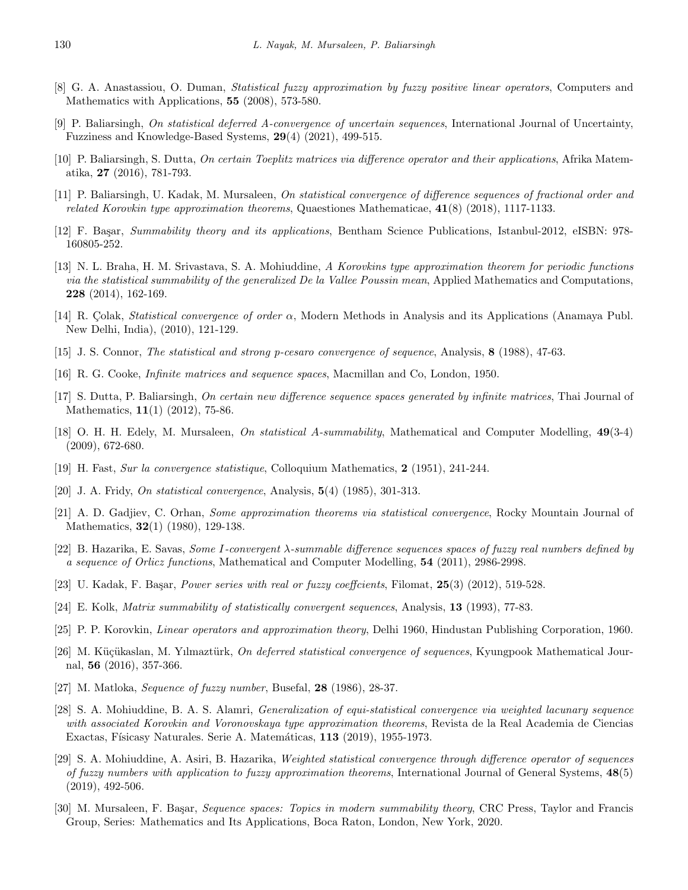- <span id="page-11-16"></span>[8] G. A. Anastassiou, O. Duman, *Statistical fuzzy approximation by fuzzy positive linear operators*, Computers and Mathematics with Applications, **55** (2008), 573-580.
- <span id="page-11-9"></span>[9] P. Baliarsingh, *On statistical deferred A-convergence of uncertain sequences*, International Journal of Uncertainty, Fuzziness and Knowledge-Based Systems, **29**(4) (2021), 499-515.
- <span id="page-11-1"></span>[10] P. Baliarsingh, S. Dutta, *On certain Toeplitz matrices via difference operator and their applications*, Afrika Matematika, **27** (2016), 781-793.
- <span id="page-11-5"></span>[11] P. Baliarsingh, U. Kadak, M. Mursaleen, *On statistical convergence of difference sequences of fractional order and related Korovkin type approximation theorems*, Quaestiones Mathematicae, **41**(8) (2018), 1117-1133.
- <span id="page-11-10"></span>[12] F. Basar, *Summability theory and its applications*, Bentham Science Publications, Istanbul-2012, eISBN: 978-160805-252.
- <span id="page-11-22"></span>[13] N. L. Braha, H. M. Srivastava, S. A. Mohiuddine, *A Korovkins type approximation theorem for periodic functions via the statistical summability of the generalized De la Vallee Poussin mean*, Applied Mathematics and Computations, **228** (2014), 162-169.
- <span id="page-11-6"></span>[14] R. C¸ olak, *Statistical convergence of order α*, Modern Methods in Analysis and its Applications (Anamaya Publ. New Delhi, India), (2010), 121-129.
- <span id="page-11-2"></span>[15] J. S. Connor, *The statistical and strong p-cesaro convergence of sequence*, Analysis, **8** (1988), 47-63.
- <span id="page-11-17"></span>[16] R. G. Cooke, *Infinite matrices and sequence spaces*, Macmillan and Co, London, 1950.
- <span id="page-11-3"></span>[17] S. Dutta, P. Baliarsingh, *On certain new difference sequence spaces generated by infinite matrices*, Thai Journal of Mathematics, **11**(1) (2012), 75-86.
- <span id="page-11-19"></span>[18] O. H. H. Edely, M. Mursaleen, *On statistical A-summability*, Mathematical and Computer Modelling, **49**(3-4) (2009), 672-680.
- <span id="page-11-0"></span>[19] H. Fast, *Sur la convergence statistique*, Colloquium Mathematics, **2** (1951), 241-244.
- <span id="page-11-4"></span>[20] J. A. Fridy, *On statistical convergence*, Analysis, **5**(4) (1985), 301-313.
- <span id="page-11-7"></span>[21] A. D. Gadjiev, C. Orhan, *Some approximation theorems via statistical convergence*, Rocky Mountain Journal of Mathematics, **32**(1) (1980), 129-138.
- <span id="page-11-14"></span>[22] B. Hazarika, E. Savas, *Some I-convergent λ-summable difference sequences spaces of fuzzy real numbers defined by a sequence of Orlicz functions*, Mathematical and Computer Modelling, **54** (2011), 2986-2998.
- <span id="page-11-12"></span>[23] U. Kadak, F. Ba¸sar, *Power series with real or fuzzy coeffcients*, Filomat, **25**(3) (2012), 519-528.
- <span id="page-11-18"></span>[24] E. Kolk, *Matrix summability of statistically convergent sequences*, Analysis, **13** (1993), 77-83.
- <span id="page-11-20"></span>[25] P. P. Korovkin, *Linear operators and approximation theory*, Delhi 1960, Hindustan Publishing Corporation, 1960.
- <span id="page-11-15"></span>[26] M. Küçükaslan, M. Yılmaztürk, *On deferred statistical convergence of sequences*, Kyungpook Mathematical Journal, **56** (2016), 357-366.
- <span id="page-11-13"></span>[27] M. Matloka, *Sequence of fuzzy number*, Busefal, **28** (1986), 28-37.
- <span id="page-11-21"></span>[28] S. A. Mohiuddine, B. A. S. Alamri, *Generalization of equi-statistical convergence via weighted lacunary sequence with associated Korovkin and Voronovskaya type approximation theorems*, Revista de la Real Academia de Ciencias Exactas, Físicasy Naturales. Serie A. Matemáticas, **113** (2019), 1955-1973.
- <span id="page-11-8"></span>[29] S. A. Mohiuddine, A. Asiri, B. Hazarika, *Weighted statistical convergence through difference operator of sequences of fuzzy numbers with application to fuzzy approximation theorems*, International Journal of General Systems, **48**(5) (2019), 492-506.
- <span id="page-11-11"></span>[30] M. Mursaleen, F. Başar, *Sequence spaces: Topics in modern summability theory*, CRC Press, Taylor and Francis Group, Series: Mathematics and Its Applications, Boca Raton, London, New York, 2020.